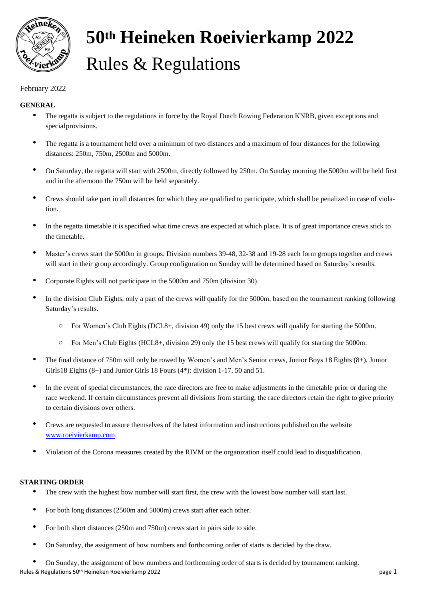

# **50th Heineken Roeivierkamp 2022** Rules & Regulations

# February 2022

# **GENERAL**

- The regatta is subject to the regulations in force by the Royal Dutch Rowing Federation KNRB, given exceptions and specialprovisions.
- The regatta is a tournament held over a minimum of two distances and a maximum of four distances for the following distances: 250m, 750m, 2500m and 5000m.
- On Saturday, the regatta will start with 2500m, directly followed by 250m. On Sunday morning the 5000m will be held first and in the afternoon the 750m will be held separately.
- Crews should take part in all distances for which they are qualified to participate, which shall be penalized in case of violation.
- In the regatta timetable it is specified what time crews are expected at which place. It is of great importance crews stick to the timetable.
- Master's crews start the 5000m in groups. Division numbers 39-48, 32-38 and 19-28 each form groups together and crews will start in their group accordingly. Group configuration on Sunday will be determined based on Saturday's results.
- Corporate Eights will not participate in the 5000m and 750m (division 30).
- In the division Club Eights, only a part of the crews will qualify for the 5000m, based on the tournament ranking following Saturday's results.
	- o For Women's Club Eights (DCL8+, division 49) only the 15 best crews will qualify for starting the 5000m.
	- o For Men's Club Eights (HCL8+, division 29) only the 15 best crews will qualify for starting the 5000m.
- The final distance of 750m will only be rowed by Women's and Men's Senior crews, Junior Boys 18 Eights (8+), Junior Girls18 Eights (8+) and Junior Girls 18 Fours (4\*): division 1-17, 50 and 51.
- In the event of special circumstances, the race directors are free to make adjustments in the timetable prior or during the race weekend. If certain circumstances prevent all divisions from starting, the race directors retain the right to give priority to certain divisions over others.
- Crews are requested to assure themselves of the latest information and instructions published on the website [www.roeivierkamp.com.](http://www.roeivierkamp.com/)
- Violation of the Corona measures created by the RIVM or the organization itself could lead to disqualification.

## **STARTING ORDER**

- The crew with the highest bow number will start first, the crew with the lowest bow number will start last.
- For both long distances (2500m and 5000m) crews start after each other.
- For both short distances (250m and 750m) crews start in pairs side to side.
- On Saturday, the assignment of bow numbers and forthcoming order of starts is decided by the draw.
- Rules & Regulations 50<sup>th</sup> Heineken Roeivierkamp 2022 **page 1** page 1 page 1 • On Sunday, the assignment of bow numbers and forthcoming order of starts is decided by tournament ranking.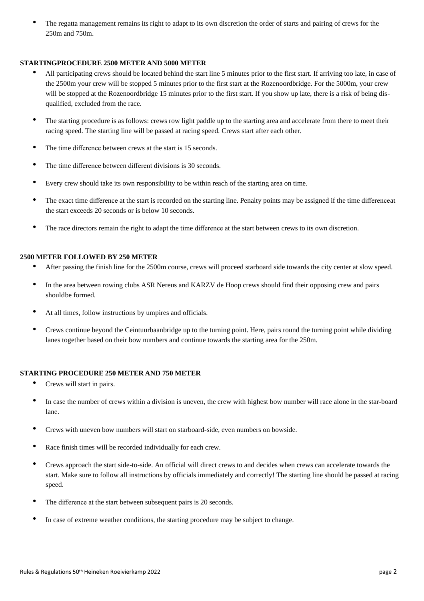• The regatta management remains its right to adapt to its own discretion the order of starts and pairing of crews for the 250m and 750m.

#### **STARTINGPROCEDURE 2500 METER AND 5000 METER**

- All participating crews should be located behind the start line 5 minutes prior to the first start. If arriving too late, in case of the 2500m your crew will be stopped 5 minutes prior to the first start at the Rozenoordbridge. For the 5000m, your crew will be stopped at the Rozenoordbridge 15 minutes prior to the first start. If you show up late, there is a risk of being disqualified, excluded from the race.
- The starting procedure is as follows: crews row light paddle up to the starting area and accelerate from there to meet their racing speed. The starting line will be passed at racing speed. Crews start after each other.
- The time difference between crews at the start is 15 seconds.
- The time difference between different divisions is 30 seconds.
- Every crew should take its own responsibility to be within reach of the starting area on time.
- The exact time difference at the start is recorded on the starting line. Penalty points may be assigned if the time differenceat the start exceeds 20 seconds or is below 10 seconds.
- The race directors remain the right to adapt the time difference at the start between crews to its own discretion.

## **2500 METER FOLLOWED BY 250 METER**

- After passing the finish line for the 2500m course, crews will proceed starboard side towards the city center at slow speed.
- In the area between rowing clubs ASR Nereus and KARZV de Hoop crews should find their opposing crew and pairs shouldbe formed.
- At all times, follow instructions by umpires and officials.
- Crews continue beyond the Ceintuurbaanbridge up to the turning point. Here, pairs round the turning point while dividing lanes together based on their bow numbers and continue towards the starting area for the 250m.

#### **STARTING PROCEDURE 250 METER AND 750 METER**

- Crews will start in pairs.
- In case the number of crews within a division is uneven, the crew with highest bow number will race alone in the star-board lane.
- Crews with uneven bow numbers will start on starboard-side, even numbers on bowside.
- Race finish times will be recorded individually for each crew.
- Crews approach the start side-to-side. An official will direct crews to and decides when crews can accelerate towards the start. Make sure to follow all instructions by officials immediately and correctly! The starting line should be passed at racing speed.
- The difference at the start between subsequent pairs is 20 seconds.
- In case of extreme weather conditions, the starting procedure may be subject to change.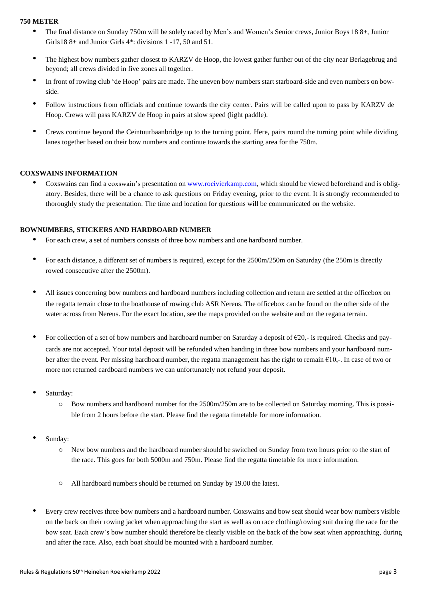#### **750 METER**

- The final distance on Sunday 750m will be solely raced by Men's and Women's Senior crews, Junior Boys 18 8+, Junior Girls18 8+ and Junior Girls 4\*: divisions 1 -17, 50 and 51.
- The highest bow numbers gather closest to KARZV de Hoop, the lowest gather further out of the city near Berlagebrug and beyond; all crews divided in five zones all together.
- In front of rowing club 'de Hoop' pairs are made. The uneven bow numbers start starboard-side and even numbers on bowside.
- Follow instructions from officials and continue towards the city center. Pairs will be called upon to pass by KARZV de Hoop. Crews will pass KARZV de Hoop in pairs at slow speed (light paddle).
- Crews continue beyond the Ceintuurbaanbridge up to the turning point. Here, pairs round the turning point while dividing lanes together based on their bow numbers and continue towards the starting area for the 750m.

## **COXSWAINS INFORMATION**

Coxswains can find a coxswain's presentation on [www.roeivierkamp.com,](http://www.roeivierkamp.com/) which should be viewed beforehand and is obligatory. Besides, there will be a chance to ask questions on Friday evening, prior to the event. It is strongly recommended to thoroughly study the presentation. The time and location for questions will be communicated on the website.

## **BOWNUMBERS, STICKERS AND HARDBOARD NUMBER**

- For each crew, a set of numbers consists of three bow numbers and one hardboard number.
- For each distance, a different set of numbers is required, except for the 2500m/250m on Saturday (the 250m is directly rowed consecutive after the 2500m).
- All issues concerning bow numbers and hardboard numbers including collection and return are settled at the officebox on the regatta terrain close to the boathouse of rowing club ASR Nereus. The officebox can be found on the other side of the water across from Nereus. For the exact location, see the maps provided on the website and on the regatta terrain.
- For collection of a set of bow numbers and hardboard number on Saturday a deposit of  $\epsilon$ 20,- is required. Checks and paycards are not accepted. Your total deposit will be refunded when handing in three bow numbers and your hardboard number after the event. Per missing hardboard number, the regatta management has the right to remain €10,-. In case of two or more not returned cardboard numbers we can unfortunately not refund your deposit.
- Saturday:
	- o Bow numbers and hardboard number for the 2500m/250m are to be collected on Saturday morning. This is possible from 2 hours before the start. Please find the regatta timetable for more information.
- Sunday:
	- o New bow numbers and the hardboard number should be switched on Sunday from two hours prior to the start of the race. This goes for both 5000m and 750m. Please find the regatta timetable for more information.
	- o All hardboard numbers should be returned on Sunday by 19.00 the latest.
- Every crew receives three bow numbers and a hardboard number. Coxswains and bow seat should wear bow numbers visible on the back on their rowing jacket when approaching the start as well as on race clothing/rowing suit during the race for the bow seat. Each crew's bow number should therefore be clearly visible on the back of the bow seat when approaching, during and after the race. Also, each boat should be mounted with a hardboard number.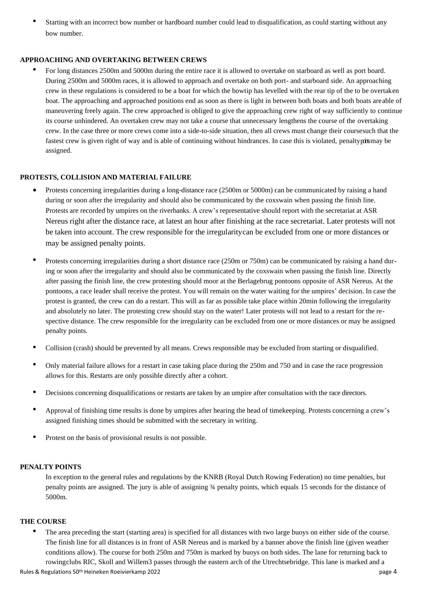• Starting with an incorrect bow number or hardboard number could lead to disqualification, as could starting without any bow number.

#### **APPROACHING AND OVERTAKING BETWEEN CREWS**

• For long distances 2500m and 5000m during the entire race it is allowed to overtake on starboard as well as port board. During 2500m and 5000m races, it is allowed to approach and overtake on both port- and starboard side. An approaching crew in these regulations is considered to be a boat for which the bowtip has levelled with the rear tip of the to be overtaken boat. The approaching and approached positions end as soon as there is light in between both boats and both boats areable of maneuvering freely again. The crew approached is obliged to give the approaching crew right of way sufficiently to continue its course unhindered. An overtaken crew may not take a course that unnecessary lengthens the course of the overtaking crew. In the case three or more crews come into a side-to-side situation, then all crews must change their coursesuch that the fastest crew is given right of way and is able of continuing without hindrances. In case this is violated, penaltypoismay be assigned.

## **PROTESTS, COLLISION AND MATERIAL FAILURE**

- Protests concerning irregularities during a long-distance race (2500m or 5000m) can be communicated by raising a hand during or soon after the irregularity and should also be communicated by the coxswain when passing the finish line. Protests are recorded by umpires on the riverbanks. A crew's representative should report with the secretariat at ASR Nereus right after the distance race, at latest an hour after finishing at the race secretariat. Later protests will not be taken into account. The crew responsible for the irregularitycan be excluded from one or more distances or may be assigned penalty points.
- Protests concerning irregularities during a short distance race (250m or 750m) can be communicated by raising a hand during or soon after the irregularity and should also be communicated by the coxswain when passing the finish line. Directly after passing the finish line, the crew protesting should moor at the Berlagebrug pontoons opposite of ASR Nereus. At the pontoons, a race leader shall receive the protest. You will remain on the water waiting for the umpires' decision. In case the protest is granted, the crew can do a restart. This will as far as possible take place within 20min following the irregularity and absolutely no later. The protesting crew should stay on the water! Later protests will not lead to a restart for the respective distance. The crew responsible for the irregularity can be excluded from one or more distances or may be assigned penalty points.
- Collision (crash) should be prevented by all means. Crews responsible may be excluded from starting or disqualified.
- Only material failure allows for a restart in case taking place during the 250m and 750 and in case the race progression allows for this. Restarts are only possible directly after a cohort.
- Decisions concerning disqualifications or restarts are taken by an umpire after consultation with the race directors.
- Approval of finishing time results is done by umpires after hearing the head of timekeeping. Protests concerning a crew's assigned finishing times should be submitted with the secretary in writing.
- Protest on the basis of provisional results is not possible.

#### **PENALTY POINTS**

In exception to the general rules and regulations by the KNRB (Royal Dutch Rowing Federation) no time penalties, but penalty points are assigned. The jury is able of assigning ¾ penalty points, which equals 15 seconds for the distance of 5000m.

#### **THE COURSE**

• The area preceding the start (starting area) is specified for all distances with two large buoys on either side of the course. The finish line for all distances is in front of ASR Nereus and is marked by a banner above the finish line (given weather conditions allow). The course for both 250m and 750m is marked by buoys on both sides. The lane for returning back to rowingclubs RIC, Skoll and Willem3 passes through the eastern arch of the Utrechtsebridge. This lane is marked and a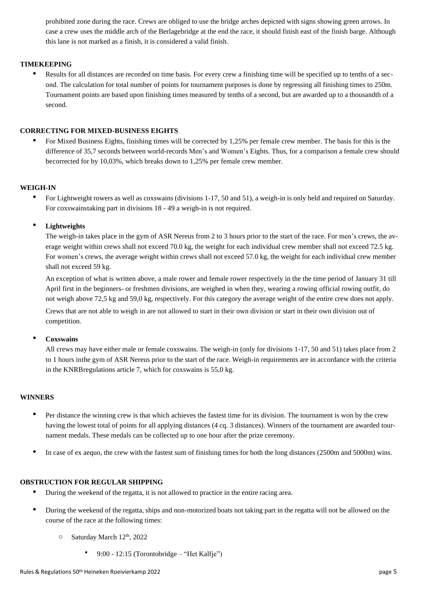prohibited zone during the race. Crews are obliged to use the bridge arches depicted with signs showing green arrows. In case a crew uses the middle arch of the Berlagebridge at the end the race, it should finish east of the finish barge. Although this lane is not marked as a finish, it is considered a valid finish.

## **TIMEKEEPING**

• Results for all distances are recorded on time basis. For every crew a finishing time will be specified up to tenths of a second. The calculation for total number of points for tournament purposes is done by regressing all finishing times to 250m. Tournament points are based upon finishing times measured by tenths of a second, but are awarded up to a thousandth of a second.

## **CORRECTING FOR MIXED-BUSINESS EIGHTS**

• For Mixed Business Eights, finishing times will be corrected by 1,25% per female crew member. The basis for this is the difference of 35,7 seconds between world-records Men's and Women's Eights. Thus, for a comparison a female crew should becorrected for by 10,03%, which breaks down to 1,25% per female crew member.

## **WEIGH-IN**

• For Lightweight rowers as well as coxswains (divisions 1-17, 50 and 51), a weigh-in is only held and required on Saturday. For coxswainstaking part in divisions 18 - 49 a weigh-in is not required.

## • **Lightweights**

The weigh-in takes place in the gym of ASR Nereus from 2 to 3 hours prior to the start of the race. For men's crews, the average weight within crews shall not exceed 70.0 kg, the weight for each individual crew member shall not exceed 72.5 kg. For women's crews, the average weight within crews shall not exceed 57.0 kg, the weight for each individual crew member shall not exceed 59 kg.

An exception of what is written above, a male rower and female rower respectively in the the time period of January 31 till April first in the beginners- or freshmen divisions, are weighed in when they, wearing a rowing official rowing outfit, do not weigh above 72,5 kg and 59,0 kg, respectively. For this category the average weight of the entire crew does not apply.

Crews that are not able to weigh in are not allowed to start in their own division or start in their own division out of competition.

#### • **Coxswains**

All crews may have either male or female coxswains. The weigh-in (only for divisions 1-17, 50 and 51) takes place from 2 to 1 hours inthe gym of ASR Nereus prior to the start of the race. Weigh-in requirements are in accordance with the criteria in the KNRBregulations article 7, which for coxswains is 55,0 kg.

#### **WINNERS**

- Per distance the winning crew is that which achieves the fastest time for its division. The tournament is won by the crew having the lowest total of points for all applying distances (4 cq. 3 distances). Winners of the tournament are awarded tournament medals. These medals can be collected up to one hour after the prize ceremony.
- In case of ex aequo, the crew with the fastest sum of finishing times for both the long distances (2500m and 5000m) wins.

## **OBSTRUCTION FOR REGULAR SHIPPING**

- During the weekend of the regatta, it is not allowed to practice in the entire racing area.
- During the weekend of the regatta, ships and non-motorized boats not taking part in the regatta will not be allowed on the course of the race at the following times:
	- o Saturday March 12th, 2022
		- 9:00 12:15 (Torontobridge "Het Kalfje")